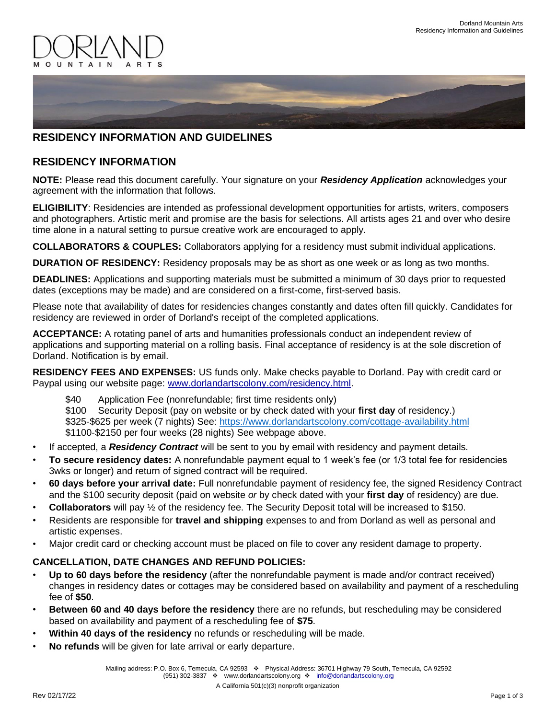



## **RESIDENCY INFORMATION AND GUIDELINES**

## **RESIDENCY INFORMATION**

**NOTE:** Please read this document carefully. Your signature on your *Residency Application* acknowledges your agreement with the information that follows.

**ELIGIBILITY**: Residencies are intended as professional development opportunities for artists, writers, composers and photographers. Artistic merit and promise are the basis for selections. All artists ages 21 and over who desire time alone in a natural setting to pursue creative work are encouraged to apply.

**COLLABORATORS & COUPLES:** Collaborators applying for a residency must submit individual applications.

**DURATION OF RESIDENCY:** Residency proposals may be as short as one week or as long as two months.

**DEADLINES:** Applications and supporting materials must be submitted a minimum of 30 days prior to requested dates (exceptions may be made) and are considered on a first-come, first-served basis.

Please note that availability of dates for residencies changes constantly and dates often fill quickly. Candidates for residency are reviewed in order of Dorland's receipt of the completed applications.

**ACCEPTANCE:** A rotating panel of arts and humanities professionals conduct an independent review of applications and supporting material on a rolling basis. Final acceptance of residency is at the sole discretion of Dorland. Notification is by email.

**RESIDENCY FEES AND EXPENSES:** US funds only. Make checks payable to Dorland. Pay with credit card or Paypal using our website page: [www.dorlandartscolony.com/residency.html.](http://www.dorlandartscolony.com/residency.html)

\$40 Application Fee (nonrefundable; first time residents only)

\$100 Security Deposit (pay on website or by check dated with your **first day** of residency.) \$325-\$625 per week (7 nights) See:<https://www.dorlandartscolony.com/cottage-availability.html> \$1100-\$2150 per four weeks (28 nights) See webpage above.

- If accepted, a *Residency Contract* will be sent to you by email with residency and payment details.
- **To secure residency dates:** A nonrefundable payment equal to 1 week's fee (or 1/3 total fee for residencies 3wks or longer) and return of signed contract will be required.
- **60 days before your arrival date:** Full nonrefundable payment of residency fee, the signed Residency Contract and the \$100 security deposit (paid on website *or* by check dated with your **first day** of residency) are due.
- **Collaborators** will pay ½ of the residency fee. The Security Deposit total will be increased to \$150.
- Residents are responsible for **travel and shipping** expenses to and from Dorland as well as personal and artistic expenses.
- Major credit card or checking account must be placed on file to cover any resident damage to property.

## **CANCELLATION, DATE CHANGES AND REFUND POLICIES:**

- **Up to 60 days before the residency** (after the nonrefundable payment is made and/or contract received) changes in residency dates or cottages may be considered based on availability and payment of a rescheduling fee of **\$50**.
- **Between 60 and 40 days before the residency** there are no refunds, but rescheduling may be considered based on availability and payment of a rescheduling fee of **\$75**.
- **Within 40 days of the residency** no refunds or rescheduling will be made.
- **No refunds** will be given for late arrival or early departure.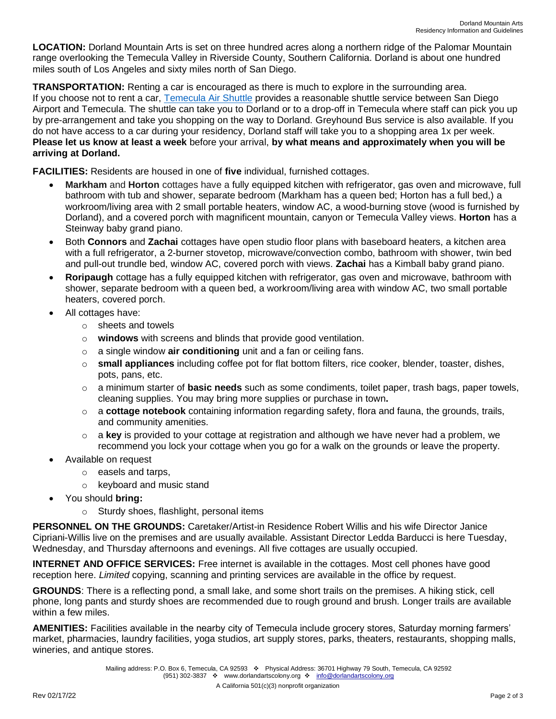**LOCATION:** Dorland Mountain Arts is set on three hundred acres along a northern ridge of the Palomar Mountain range overlooking the Temecula Valley in Riverside County, Southern California. Dorland is about one hundred miles south of Los Angeles and sixty miles north of San Diego.

**TRANSPORTATION:** Renting a car is encouraged as there is much to explore in the surrounding area. If you choose not to rent a car, [Temecula Air Shuttle](http://www.temeculaairshuttle.com/) provides a reasonable shuttle service between San Diego Airport and Temecula. The shuttle can take you to Dorland or to a drop-off in Temecula where staff can pick you up by pre-arrangement and take you shopping on the way to Dorland. Greyhound Bus service is also available. If you do not have access to a car during your residency, Dorland staff will take you to a shopping area 1x per week. **Please let us know at least a week** before your arrival, **by what means and approximately when you will be arriving at Dorland.**

**FACILITIES:** Residents are housed in one of **five** individual, furnished cottages.

- **Markham** and **Horton** cottages have a fully equipped kitchen with refrigerator, gas oven and microwave, full bathroom with tub and shower, separate bedroom (Markham has a queen bed; Horton has a full bed,) a workroom/living area with 2 small portable heaters, window AC, a wood-burning stove (wood is furnished by Dorland), and a covered porch with magnificent mountain, canyon or Temecula Valley views. **Horton** has a Steinway baby grand piano.
- Both **Connors** and **Zachai** cottages have open studio floor plans with baseboard heaters, a kitchen area with a full refrigerator, a 2-burner stovetop, microwave/convection combo, bathroom with shower, twin bed and pull-out trundle bed, window AC, covered porch with views. **Zachai** has a Kimball baby grand piano.
- **Roripaugh** cottage has a fully equipped kitchen with refrigerator, gas oven and microwave, bathroom with shower, separate bedroom with a queen bed, a workroom/living area with window AC, two small portable heaters, covered porch.
- All cottages have:
	- o sheets and towels
	- o **windows** with screens and blinds that provide good ventilation.
	- o a single window **air conditioning** unit and a fan or ceiling fans.
	- o **small appliances** including coffee pot for flat bottom filters, rice cooker, blender, toaster, dishes, pots, pans, etc.
	- o a minimum starter of **basic needs** such as some condiments, toilet paper, trash bags, paper towels, cleaning supplies. You may bring more supplies or purchase in town**.**
	- o a **cottage notebook** containing information regarding safety, flora and fauna, the grounds, trails, and community amenities.
	- o a **key** is provided to your cottage at registration and although we have never had a problem, we recommend you lock your cottage when you go for a walk on the grounds or leave the property.
- Available on request
	- o easels and tarps,
	- o keyboard and music stand
- You should **bring:**
	- o Sturdy shoes, flashlight, personal items

**PERSONNEL ON THE GROUNDS:** Caretaker/Artist-in Residence Robert Willis and his wife Director Janice Cipriani-Willis live on the premises and are usually available. Assistant Director Ledda Barducci is here Tuesday, Wednesday, and Thursday afternoons and evenings. All five cottages are usually occupied.

**INTERNET AND OFFICE SERVICES:** Free internet is available in the cottages. Most cell phones have good reception here. *Limited* copying, scanning and printing services are available in the office by request.

**GROUNDS**: There is a reflecting pond, a small lake, and some short trails on the premises. A hiking stick, cell phone, long pants and sturdy shoes are recommended due to rough ground and brush. Longer trails are available within a few miles.

**AMENITIES:** Facilities available in the nearby city of Temecula include grocery stores, Saturday morning farmers' market, pharmacies, laundry facilities, yoga studios, art supply stores, parks, theaters, restaurants, shopping malls, wineries, and antique stores.